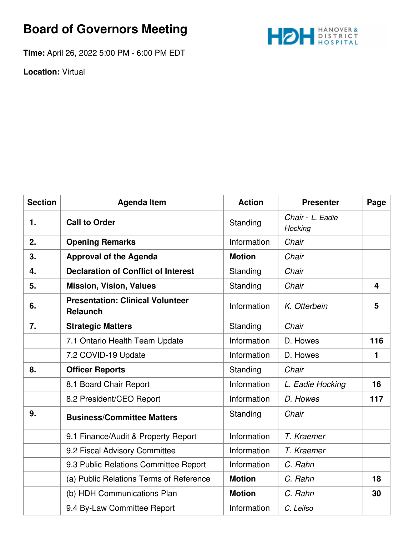## **Board of Governors Meeting**

**Time:** April 26, 2022 5:00 PM - 6:00 PM EDT



**Location:** Virtual

| <b>Section</b> | <b>Agenda Item</b>                                         | <b>Action</b> | <b>Presenter</b>            | Page                    |
|----------------|------------------------------------------------------------|---------------|-----------------------------|-------------------------|
| 1.             | <b>Call to Order</b>                                       | Standing      | Chair - L. Eadie<br>Hocking |                         |
| 2.             | <b>Opening Remarks</b>                                     | Information   | Chair                       |                         |
| 3.             | <b>Approval of the Agenda</b>                              | <b>Motion</b> | Chair                       |                         |
| 4.             | <b>Declaration of Conflict of Interest</b>                 | Standing      | Chair                       |                         |
| 5.             | <b>Mission, Vision, Values</b>                             | Standing      | Chair                       | $\overline{\mathbf{4}}$ |
| 6.             | <b>Presentation: Clinical Volunteer</b><br><b>Relaunch</b> | Information   | K. Otterbein                | 5                       |
| 7.             | <b>Strategic Matters</b>                                   | Standing      | Chair                       |                         |
|                | 7.1 Ontario Health Team Update                             | Information   | D. Howes                    | 116                     |
|                | 7.2 COVID-19 Update                                        | Information   | D. Howes                    | 1                       |
| 8.             | <b>Officer Reports</b>                                     | Standing      | Chair                       |                         |
|                | 8.1 Board Chair Report                                     | Information   | L. Eadie Hocking            | 16                      |
|                | 8.2 President/CEO Report                                   | Information   | D. Howes                    | 117                     |
| 9.             | <b>Business/Committee Matters</b>                          | Standing      | Chair                       |                         |
|                | 9.1 Finance/Audit & Property Report                        | Information   | T. Kraemer                  |                         |
|                | 9.2 Fiscal Advisory Committee                              | Information   | T. Kraemer                  |                         |
|                | 9.3 Public Relations Committee Report                      | Information   | C. Rahn                     |                         |
|                | (a) Public Relations Terms of Reference                    | <b>Motion</b> | C. Rahn                     | 18                      |
|                | (b) HDH Communications Plan                                | <b>Motion</b> | C. Rahn                     | 30                      |
|                | 9.4 By-Law Committee Report                                | Information   | C. Leifso                   |                         |